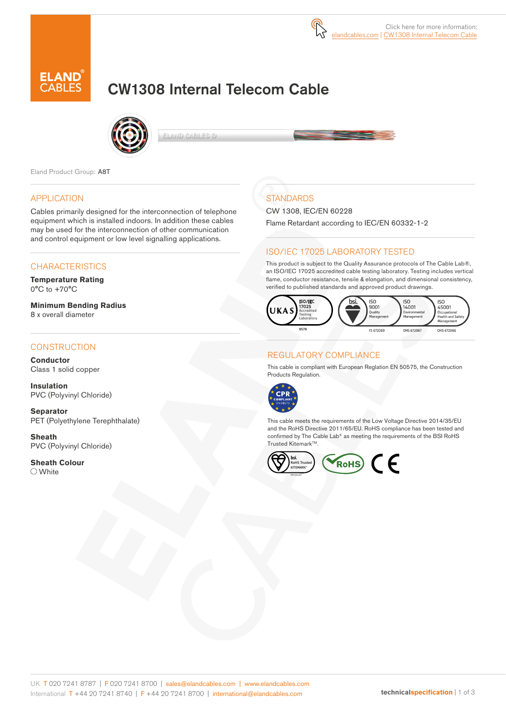

# CW1308 Internal Telecom Cable



ELAND CABLES @

Eland Product Group: A8T

#### APPLICATION

Cables primarily designed for the interconnection of telephone equipment which is installed indoors. In addition these cables may be used for the interconnection of other communication and control equipment or low level signalling applications.

#### **CHARACTERISTICS**

**Temperature Rating**  $0^{\circ}$ C to  $+70^{\circ}$ C

**Minimum Bending Radius**  8 x overall diameter

#### **CONSTRUCTION**

**Conductor** Class 1 solid copper

**Insulation** PVC (Polyvinyl Chloride)

**Separator** PET (Polyethylene Terephthalate)

**Sheath** PVC (Polyvinyl Chloride)

**Sheath Colour** White

# **STANDARDS**

CW 1308, IEC/EN 60228

Flame Retardant according to IEC/EN 60332-1-2

### ISO/IEC 17025 LABORATORY TESTED

This product is subject to the Quality Assurance protocols of The Cable Lab®, an ISO/IEC 17025 accredited cable testing laboratory. Testing includes vertical flame, conductor resistance, tensile & elongation, and dimensional consistency, verified to published standards and approved product drawings.



#### REGULATORY COMPLIANCE

This cable is compliant with European Reglation EN 50575, the Construction Products Regulation.



This cable meets the requirements of the Low Voltage Directive 2014/35/EU and the RoHS Directive 2011/65/EU. RoHS compliance has been tested and confirmed by The Cable Lab® as meeting the requirements of the BSI RoHS Trusted Kitemark™.

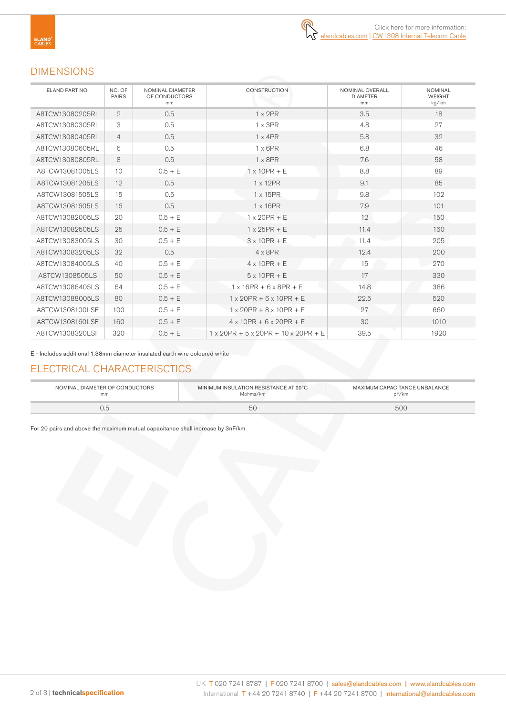# DIMENSIONS

| ELAND PART NO.  | NO. OF<br><b>PAIRS</b> | NOMINAL DIAMETER<br>OF CONDUCTORS<br>m <sub>m</sub> | <b>CONSTRUCTION</b>                                       | NOMINAL OVERALL<br><b>DIAMETER</b><br>mm | <b>NOMINAL</b><br><b>WEIGHT</b><br>kg/km |
|-----------------|------------------------|-----------------------------------------------------|-----------------------------------------------------------|------------------------------------------|------------------------------------------|
| A8TCW13080205RL | $\overline{2}$         | 0.5                                                 | $1 \times 2PR$                                            | 3.5                                      | 18                                       |
| A8TCW13080305RL | 3                      | 0.5                                                 | $1 \times 3PR$                                            | 4.8                                      | 27                                       |
| A8TCW13080405RL | $\overline{4}$         | 0.5                                                 | $1 \times 4$ PR                                           | 5.8                                      | 32                                       |
| A8TCW13080605RL | 6                      | 0.5                                                 | $1 \times 6$ PR                                           | 6.8                                      | 46                                       |
| A8TCW13080805RL | 8                      | 0.5                                                 | $1 \times 8$ PR                                           | 7.6                                      | 58                                       |
| A8TCW13081005LS | 10                     | $0.5 + E$                                           | $1 \times 10PR + E$                                       | 8.8                                      | 89                                       |
| A8TCW13081205LS | 12                     | 0.5                                                 | 1 x 12PR                                                  | 9.1                                      | 85                                       |
| A8TCW13081505LS | 15                     | 0.5                                                 | $1 \times 15$ PR                                          | 9.8                                      | 102                                      |
| A8TCW13081605LS | 16                     | 0.5                                                 | $1 \times 16$ PR                                          | 7.9                                      | 101                                      |
| A8TCW13082005LS | 20                     | $0.5 + E$                                           | $1 \times 20$ PR + E                                      | 12                                       | 150                                      |
| A8TCW13082505LS | 25                     | $0.5 + E$                                           | $1 \times 25$ PR + E                                      | 11.4                                     | 160                                      |
| A8TCW13083005LS | 30                     | $0.5 + E$                                           | $3 \times 10$ PR + E                                      | 11.4                                     | 205                                      |
| A8TCW13083205LS | 32                     | 0.5                                                 | $4 \times 8$ PR                                           | 12.4                                     | 200                                      |
| A8TCW13084005LS | 40                     | $0.5 + E$                                           | $4 \times 10PR + E$                                       | 15                                       | 270                                      |
| A8TCW1308505LS  | 50                     | $0.5 + E$                                           | $5 \times 10PR + E$                                       | 17                                       | 330                                      |
| A8TCW13086405LS | 64                     | $0.5 + E$                                           | $1 \times 16$ PR + 6 $\times$ 8PR + E                     | 14.8                                     | 386                                      |
| A8TCW13088005LS | 80                     | $0.5 + E$                                           | $1 \times 20$ PR + 6 $\times$ 10PR + E                    | 22.5                                     | 520                                      |
| A8TCW1308100LSF | 100                    | $0.5 + E$                                           | $1 \times 20$ PR + $8 \times 10$ PR + E                   | 27                                       | 660                                      |
| A8TCW1308160LSF | 160                    | $0.5 + E$                                           | $4 \times 10$ PR + 6 $\times$ 20PR + E                    | 30                                       | 1010                                     |
| A8TCW1308320LSF | 320                    | $0.5 + E$                                           | $1 \times 20$ PR + 5 $\times$ 20PR + 10 $\times$ 20PR + E | 39.5                                     | 1920                                     |

E - Includes additional 1.38mm diameter insulated earth wire coloured white

## ELECTRICAL CHARACTERISCTICS

| NOMINAL DIAMETER OF CONDUCTORS | MINIMUM INSULATION RESISTANCE AT 20°C | MAXIMUM CAPACITANCE UNBALANCE |
|--------------------------------|---------------------------------------|-------------------------------|
| mm                             | Mohms/km                              | oF∕km                         |
| U.C                            |                                       | 50C                           |

For 20 pairs and above the maximum mutual capacitance shall increase by 3nF/km